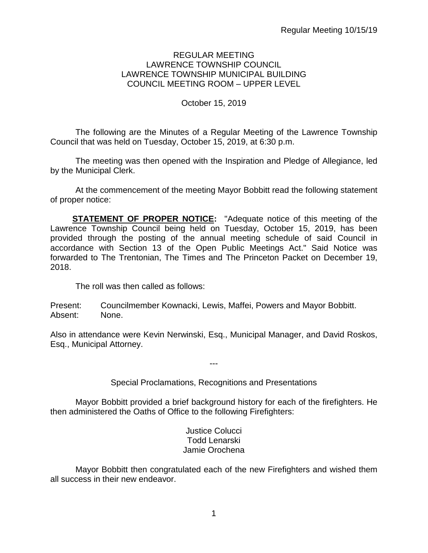#### REGULAR MEETING LAWRENCE TOWNSHIP COUNCIL LAWRENCE TOWNSHIP MUNICIPAL BUILDING COUNCIL MEETING ROOM – UPPER LEVEL

## October 15, 2019

The following are the Minutes of a Regular Meeting of the Lawrence Township Council that was held on Tuesday, October 15, 2019, at 6:30 p.m.

The meeting was then opened with the Inspiration and Pledge of Allegiance, led by the Municipal Clerk.

At the commencement of the meeting Mayor Bobbitt read the following statement of proper notice:

**STATEMENT OF PROPER NOTICE:** "Adequate notice of this meeting of the Lawrence Township Council being held on Tuesday, October 15, 2019, has been provided through the posting of the annual meeting schedule of said Council in accordance with Section 13 of the Open Public Meetings Act." Said Notice was forwarded to The Trentonian, The Times and The Princeton Packet on December 19, 2018.

The roll was then called as follows:

Present: Councilmember Kownacki, Lewis, Maffei, Powers and Mayor Bobbitt. Absent: None.

Also in attendance were Kevin Nerwinski, Esq., Municipal Manager, and David Roskos, Esq., Municipal Attorney.

Special Proclamations, Recognitions and Presentations

---

Mayor Bobbitt provided a brief background history for each of the firefighters. He then administered the Oaths of Office to the following Firefighters:

> Justice Colucci Todd Lenarski Jamie Orochena

Mayor Bobbitt then congratulated each of the new Firefighters and wished them all success in their new endeavor.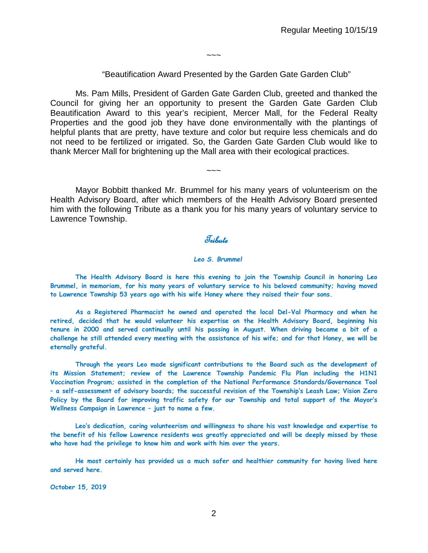$\sim\sim\sim$ 

#### "Beautification Award Presented by the Garden Gate Garden Club"

Ms. Pam Mills, President of Garden Gate Garden Club, greeted and thanked the Council for giving her an opportunity to present the Garden Gate Garden Club Beautification Award to this year's recipient, Mercer Mall, for the Federal Realty Properties and the good job they have done environmentally with the plantings of helpful plants that are pretty, have texture and color but require less chemicals and do not need to be fertilized or irrigated. So, the Garden Gate Garden Club would like to thank Mercer Mall for brightening up the Mall area with their ecological practices.

Mayor Bobbitt thanked Mr. Brummel for his many years of volunteerism on the Health Advisory Board, after which members of the Health Advisory Board presented him with the following Tribute as a thank you for his many years of voluntary service to Lawrence Township.

 $\sim\sim\sim$ 

## *<u>Tribule</u>*

#### *Leo S. Brummel*

**The Health Advisory Board is here this evening to join the Township Council in honoring Leo Brummel, in memoriam, for his many years of voluntary service to his beloved community; having moved to Lawrence Township 53 years ago with his wife Honey where they raised their four sons.**

**As a Registered Pharmacist he owned and operated the local Del-Val Pharmacy and when he retired, decided that he would volunteer his expertise on the Health Advisory Board, beginning his tenure in 2000 and served continually until his passing in August. When driving became a bit of a challenge he still attended every meeting with the assistance of his wife; and for that Honey, we will be eternally grateful.**

**Through the years Leo made significant contributions to the Board such as the development of its Mission Statement; review of the Lawrence Township Pandemic Flu Plan including the H1N1 Vaccination Program; assisted in the completion of the National Performance Standards/Governance Tool – a self-assessment of advisory boards; the successful revision of the Township's Leash Law; Vision Zero Policy by the Board for improving traffic safety for our Township and total support of the Mayor's Wellness Campaign in Lawrence – just to name a few.**

**Leo's dedication, caring volunteerism and willingness to share his vast knowledge and expertise to the benefit of his fellow Lawrence residents was greatly appreciated and will be deeply missed by those who have had the privilege to know him and work with him over the years.**

**He most certainly has provided us a much safer and healthier community for having lived here and served here.** 

**October 15, 2019**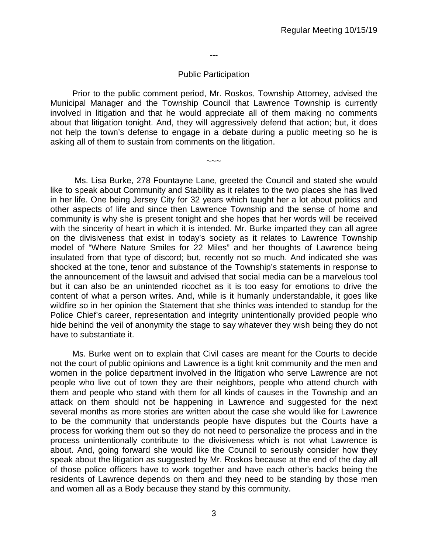---

#### Public Participation

Prior to the public comment period, Mr. Roskos, Township Attorney, advised the Municipal Manager and the Township Council that Lawrence Township is currently involved in litigation and that he would appreciate all of them making no comments about that litigation tonight. And, they will aggressively defend that action; but, it does not help the town's defense to engage in a debate during a public meeting so he is asking all of them to sustain from comments on the litigation.

 $\sim\sim\sim$ 

Ms. Lisa Burke, 278 Fountayne Lane, greeted the Council and stated she would like to speak about Community and Stability as it relates to the two places she has lived in her life. One being Jersey City for 32 years which taught her a lot about politics and other aspects of life and since then Lawrence Township and the sense of home and community is why she is present tonight and she hopes that her words will be received with the sincerity of heart in which it is intended. Mr. Burke imparted they can all agree on the divisiveness that exist in today's society as it relates to Lawrence Township model of "Where Nature Smiles for 22 Miles" and her thoughts of Lawrence being insulated from that type of discord; but, recently not so much. And indicated she was shocked at the tone, tenor and substance of the Township's statements in response to the announcement of the lawsuit and advised that social media can be a marvelous tool but it can also be an unintended ricochet as it is too easy for emotions to drive the content of what a person writes. And, while is it humanly understandable, it goes like wildfire so in her opinion the Statement that she thinks was intended to standup for the Police Chief's career, representation and integrity unintentionally provided people who hide behind the veil of anonymity the stage to say whatever they wish being they do not have to substantiate it.

Ms. Burke went on to explain that Civil cases are meant for the Courts to decide not the court of public opinions and Lawrence is a tight knit community and the men and women in the police department involved in the litigation who serve Lawrence are not people who live out of town they are their neighbors, people who attend church with them and people who stand with them for all kinds of causes in the Township and an attack on them should not be happening in Lawrence and suggested for the next several months as more stories are written about the case she would like for Lawrence to be the community that understands people have disputes but the Courts have a process for working them out so they do not need to personalize the process and in the process unintentionally contribute to the divisiveness which is not what Lawrence is about. And, going forward she would like the Council to seriously consider how they speak about the litigation as suggested by Mr. Roskos because at the end of the day all of those police officers have to work together and have each other's backs being the residents of Lawrence depends on them and they need to be standing by those men and women all as a Body because they stand by this community.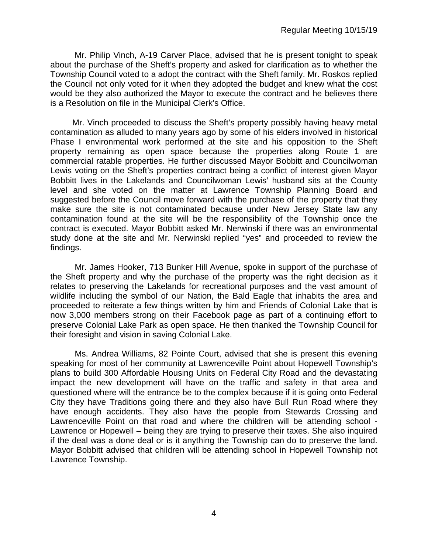Mr. Philip Vinch, A-19 Carver Place, advised that he is present tonight to speak about the purchase of the Sheft's property and asked for clarification as to whether the Township Council voted to a adopt the contract with the Sheft family. Mr. Roskos replied the Council not only voted for it when they adopted the budget and knew what the cost would be they also authorized the Mayor to execute the contract and he believes there is a Resolution on file in the Municipal Clerk's Office.

Mr. Vinch proceeded to discuss the Sheft's property possibly having heavy metal contamination as alluded to many years ago by some of his elders involved in historical Phase I environmental work performed at the site and his opposition to the Sheft property remaining as open space because the properties along Route 1 are commercial ratable properties. He further discussed Mayor Bobbitt and Councilwoman Lewis voting on the Sheft's properties contract being a conflict of interest given Mayor Bobbitt lives in the Lakelands and Councilwoman Lewis' husband sits at the County level and she voted on the matter at Lawrence Township Planning Board and suggested before the Council move forward with the purchase of the property that they make sure the site is not contaminated because under New Jersey State law any contamination found at the site will be the responsibility of the Township once the contract is executed. Mayor Bobbitt asked Mr. Nerwinski if there was an environmental study done at the site and Mr. Nerwinski replied "yes" and proceeded to review the findings.

Mr. James Hooker, 713 Bunker Hill Avenue, spoke in support of the purchase of the Sheft property and why the purchase of the property was the right decision as it relates to preserving the Lakelands for recreational purposes and the vast amount of wildlife including the symbol of our Nation, the Bald Eagle that inhabits the area and proceeded to reiterate a few things written by him and Friends of Colonial Lake that is now 3,000 members strong on their Facebook page as part of a continuing effort to preserve Colonial Lake Park as open space. He then thanked the Township Council for their foresight and vision in saving Colonial Lake.

Ms. Andrea Williams, 82 Pointe Court, advised that she is present this evening speaking for most of her community at Lawrenceville Point about Hopewell Township's plans to build 300 Affordable Housing Units on Federal City Road and the devastating impact the new development will have on the traffic and safety in that area and questioned where will the entrance be to the complex because if it is going onto Federal City they have Traditions going there and they also have Bull Run Road where they have enough accidents. They also have the people from Stewards Crossing and Lawrenceville Point on that road and where the children will be attending school - Lawrence or Hopewell – being they are trying to preserve their taxes. She also inquired if the deal was a done deal or is it anything the Township can do to preserve the land. Mayor Bobbitt advised that children will be attending school in Hopewell Township not Lawrence Township.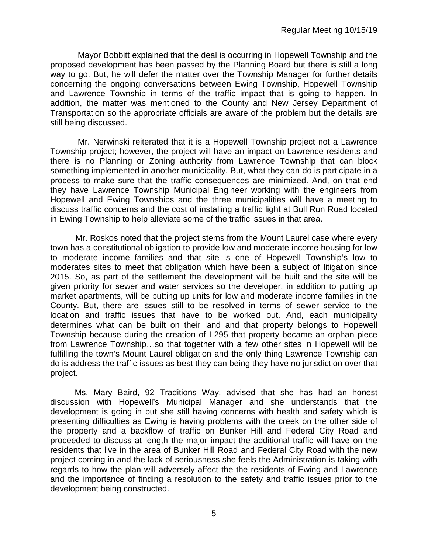Mayor Bobbitt explained that the deal is occurring in Hopewell Township and the proposed development has been passed by the Planning Board but there is still a long way to go. But, he will defer the matter over the Township Manager for further details concerning the ongoing conversations between Ewing Township, Hopewell Township and Lawrence Township in terms of the traffic impact that is going to happen. In addition, the matter was mentioned to the County and New Jersey Department of Transportation so the appropriate officials are aware of the problem but the details are still being discussed.

Mr. Nerwinski reiterated that it is a Hopewell Township project not a Lawrence Township project; however, the project will have an impact on Lawrence residents and there is no Planning or Zoning authority from Lawrence Township that can block something implemented in another municipality. But, what they can do is participate in a process to make sure that the traffic consequences are minimized. And, on that end they have Lawrence Township Municipal Engineer working with the engineers from Hopewell and Ewing Townships and the three municipalities will have a meeting to discuss traffic concerns and the cost of installing a traffic light at Bull Run Road located in Ewing Township to help alleviate some of the traffic issues in that area.

Mr. Roskos noted that the project stems from the Mount Laurel case where every town has a constitutional obligation to provide low and moderate income housing for low to moderate income families and that site is one of Hopewell Township's low to moderates sites to meet that obligation which have been a subject of litigation since 2015. So, as part of the settlement the development will be built and the site will be given priority for sewer and water services so the developer, in addition to putting up market apartments, will be putting up units for low and moderate income families in the County. But, there are issues still to be resolved in terms of sewer service to the location and traffic issues that have to be worked out. And, each municipality determines what can be built on their land and that property belongs to Hopewell Township because during the creation of I-295 that property became an orphan piece from Lawrence Township…so that together with a few other sites in Hopewell will be fulfilling the town's Mount Laurel obligation and the only thing Lawrence Township can do is address the traffic issues as best they can being they have no jurisdiction over that project.

Ms. Mary Baird, 92 Traditions Way, advised that she has had an honest discussion with Hopewell's Municipal Manager and she understands that the development is going in but she still having concerns with health and safety which is presenting difficulties as Ewing is having problems with the creek on the other side of the property and a backflow of traffic on Bunker Hill and Federal City Road and proceeded to discuss at length the major impact the additional traffic will have on the residents that live in the area of Bunker Hill Road and Federal City Road with the new project coming in and the lack of seriousness she feels the Administration is taking with regards to how the plan will adversely affect the the residents of Ewing and Lawrence and the importance of finding a resolution to the safety and traffic issues prior to the development being constructed.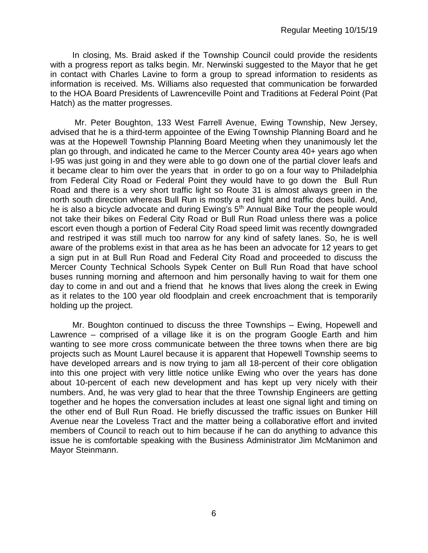In closing, Ms. Braid asked if the Township Council could provide the residents with a progress report as talks begin. Mr. Nerwinski suggested to the Mayor that he get in contact with Charles Lavine to form a group to spread information to residents as information is received. Ms. Williams also requested that communication be forwarded to the HOA Board Presidents of Lawrenceville Point and Traditions at Federal Point (Pat Hatch) as the matter progresses.

Mr. Peter Boughton, 133 West Farrell Avenue, Ewing Township, New Jersey, advised that he is a third-term appointee of the Ewing Township Planning Board and he was at the Hopewell Township Planning Board Meeting when they unanimously let the plan go through, and indicated he came to the Mercer County area 40+ years ago when I-95 was just going in and they were able to go down one of the partial clover leafs and it became clear to him over the years that in order to go on a four way to Philadelphia from Federal City Road or Federal Point they would have to go down the Bull Run Road and there is a very short traffic light so Route 31 is almost always green in the north south direction whereas Bull Run is mostly a red light and traffic does build. And, he is also a bicycle advocate and during Ewing's 5<sup>th</sup> Annual Bike Tour the people would not take their bikes on Federal City Road or Bull Run Road unless there was a police escort even though a portion of Federal City Road speed limit was recently downgraded and restriped it was still much too narrow for any kind of safety lanes. So, he is well aware of the problems exist in that area as he has been an advocate for 12 years to get a sign put in at Bull Run Road and Federal City Road and proceeded to discuss the Mercer County Technical Schools Sypek Center on Bull Run Road that have school buses running morning and afternoon and him personally having to wait for them one day to come in and out and a friend that he knows that lives along the creek in Ewing as it relates to the 100 year old floodplain and creek encroachment that is temporarily holding up the project.

Mr. Boughton continued to discuss the three Townships – Ewing, Hopewell and Lawrence – comprised of a village like it is on the program Google Earth and him wanting to see more cross communicate between the three towns when there are big projects such as Mount Laurel because it is apparent that Hopewell Township seems to have developed arrears and is now trying to jam all 18-percent of their core obligation into this one project with very little notice unlike Ewing who over the years has done about 10-percent of each new development and has kept up very nicely with their numbers. And, he was very glad to hear that the three Township Engineers are getting together and he hopes the conversation includes at least one signal light and timing on the other end of Bull Run Road. He briefly discussed the traffic issues on Bunker Hill Avenue near the Loveless Tract and the matter being a collaborative effort and invited members of Council to reach out to him because if he can do anything to advance this issue he is comfortable speaking with the Business Administrator Jim McManimon and Mayor Steinmann.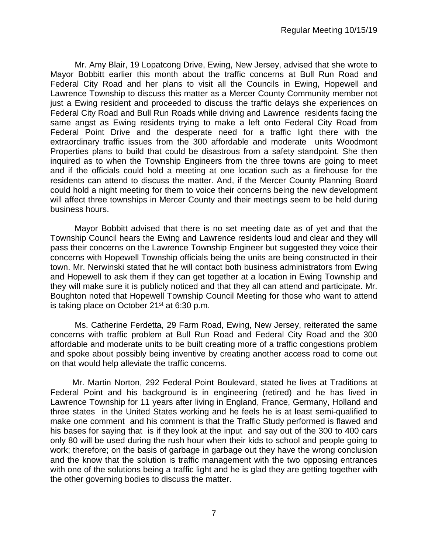Mr. Amy Blair, 19 Lopatcong Drive, Ewing, New Jersey, advised that she wrote to Mayor Bobbitt earlier this month about the traffic concerns at Bull Run Road and Federal City Road and her plans to visit all the Councils in Ewing, Hopewell and Lawrence Township to discuss this matter as a Mercer County Community member not just a Ewing resident and proceeded to discuss the traffic delays she experiences on Federal City Road and Bull Run Roads while driving and Lawrence residents facing the same angst as Ewing residents trying to make a left onto Federal City Road from Federal Point Drive and the desperate need for a traffic light there with the extraordinary traffic issues from the 300 affordable and moderate units Woodmont Properties plans to build that could be disastrous from a safety standpoint. She then inquired as to when the Township Engineers from the three towns are going to meet and if the officials could hold a meeting at one location such as a firehouse for the residents can attend to discuss the matter. And, if the Mercer County Planning Board could hold a night meeting for them to voice their concerns being the new development will affect three townships in Mercer County and their meetings seem to be held during business hours.

Mayor Bobbitt advised that there is no set meeting date as of yet and that the Township Council hears the Ewing and Lawrence residents loud and clear and they will pass their concerns on the Lawrence Township Engineer but suggested they voice their concerns with Hopewell Township officials being the units are being constructed in their town. Mr. Nerwinski stated that he will contact both business administrators from Ewing and Hopewell to ask them if they can get together at a location in Ewing Township and they will make sure it is publicly noticed and that they all can attend and participate. Mr. Boughton noted that Hopewell Township Council Meeting for those who want to attend is taking place on October 21<sup>st</sup> at 6:30 p.m.

Ms. Catherine Ferdetta, 29 Farm Road, Ewing, New Jersey, reiterated the same concerns with traffic problem at Bull Run Road and Federal City Road and the 300 affordable and moderate units to be built creating more of a traffic congestions problem and spoke about possibly being inventive by creating another access road to come out on that would help alleviate the traffic concerns.

Mr. Martin Norton, 292 Federal Point Boulevard, stated he lives at Traditions at Federal Point and his background is in engineering (retired) and he has lived in Lawrence Township for 11 years after living in England, France, Germany, Holland and three states in the United States working and he feels he is at least semi-qualified to make one comment and his comment is that the Traffic Study performed is flawed and his bases for saying that is if they look at the input and say out of the 300 to 400 cars only 80 will be used during the rush hour when their kids to school and people going to work; therefore; on the basis of garbage in garbage out they have the wrong conclusion and the know that the solution is traffic management with the two opposing entrances with one of the solutions being a traffic light and he is glad they are getting together with the other governing bodies to discuss the matter.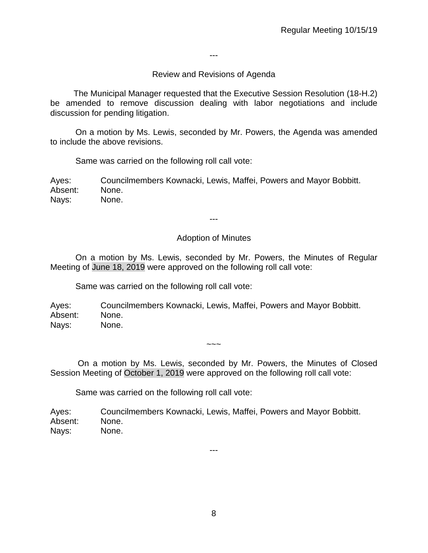---

## Review and Revisions of Agenda

 The Municipal Manager requested that the Executive Session Resolution (18-H.2) be amended to remove discussion dealing with labor negotiations and include discussion for pending litigation.

On a motion by Ms. Lewis, seconded by Mr. Powers, the Agenda was amended to include the above revisions.

Same was carried on the following roll call vote:

Ayes: Councilmembers Kownacki, Lewis, Maffei, Powers and Mayor Bobbitt. Absent: None. Nays: None.

---

### Adoption of Minutes

On a motion by Ms. Lewis, seconded by Mr. Powers, the Minutes of Regular Meeting of June 18, 2019 were approved on the following roll call vote:

Same was carried on the following roll call vote:

Ayes: Councilmembers Kownacki, Lewis, Maffei, Powers and Mayor Bobbitt. Absent: None. Nays: None.

On a motion by Ms. Lewis, seconded by Mr. Powers, the Minutes of Closed Session Meeting of October 1, 2019 were approved on the following roll call vote:

 $\sim\sim\sim$ 

Same was carried on the following roll call vote:

Ayes: Councilmembers Kownacki, Lewis, Maffei, Powers and Mayor Bobbitt. Absent: None. Nays: None.

8

---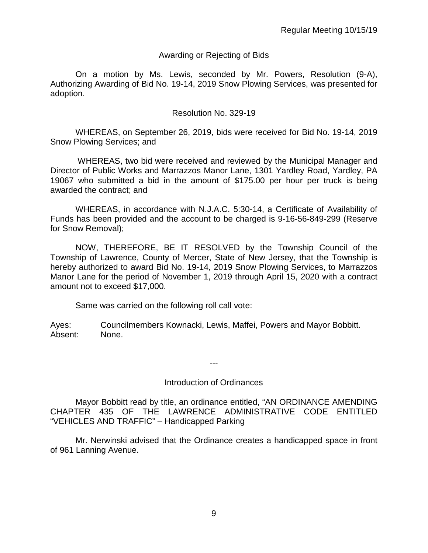#### Awarding or Rejecting of Bids

On a motion by Ms. Lewis, seconded by Mr. Powers, Resolution (9-A), Authorizing Awarding of Bid No. 19-14, 2019 Snow Plowing Services, was presented for adoption.

#### Resolution No. 329-19

WHEREAS, on September 26, 2019, bids were received for Bid No. 19-14, 2019 Snow Plowing Services; and

WHEREAS, two bid were received and reviewed by the Municipal Manager and Director of Public Works and Marrazzos Manor Lane, 1301 Yardley Road, Yardley, PA 19067 who submitted a bid in the amount of \$175.00 per hour per truck is being awarded the contract; and

WHEREAS, in accordance with N.J.A.C. 5:30-14, a Certificate of Availability of Funds has been provided and the account to be charged is 9-16-56-849-299 (Reserve for Snow Removal);

NOW, THEREFORE, BE IT RESOLVED by the Township Council of the Township of Lawrence, County of Mercer, State of New Jersey, that the Township is hereby authorized to award Bid No. 19-14, 2019 Snow Plowing Services, to Marrazzos Manor Lane for the period of November 1, 2019 through April 15, 2020 with a contract amount not to exceed \$17,000.

Same was carried on the following roll call vote:

Ayes: Councilmembers Kownacki, Lewis, Maffei, Powers and Mayor Bobbitt. Absent: None.

### Introduction of Ordinances

---

Mayor Bobbitt read by title, an ordinance entitled, "AN ORDINANCE AMENDING CHAPTER 435 OF THE LAWRENCE ADMINISTRATIVE CODE ENTITLED "VEHICLES AND TRAFFIC" – Handicapped Parking

Mr. Nerwinski advised that the Ordinance creates a handicapped space in front of 961 Lanning Avenue.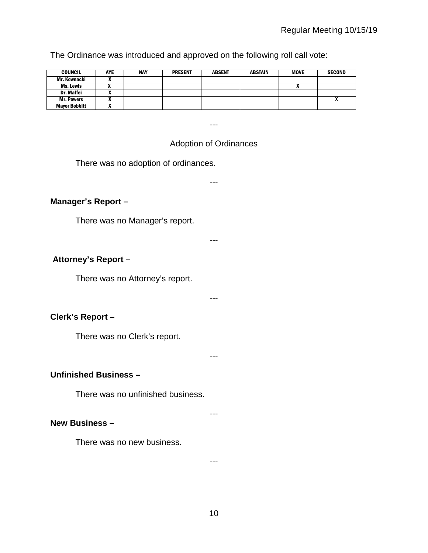The Ordinance was introduced and approved on the following roll call vote:

| <b>COUNCIL</b>       | AYE | <b>NAY</b> | <b>PRESENT</b> | <b>ABSENT</b> | ABSTAIN | <b>MOVE</b> | <b>SECOND</b> |
|----------------------|-----|------------|----------------|---------------|---------|-------------|---------------|
| Mr. Kownacki         |     |            |                |               |         |             |               |
| Ms. Lewis            |     |            |                |               |         |             |               |
| <b>Dr. Maffei</b>    |     |            |                |               |         |             |               |
| <b>Mr. Powers</b>    |     |            |                |               |         |             |               |
| <b>Mayor Bobbitt</b> |     |            |                |               |         |             |               |

# Adoption of Ordinances

---

There was no adoption of ordinances.

---

---

---

## **Manager's Report –**

There was no Manager's report.

**Attorney's Report –**

There was no Attorney's report.

**Clerk's Report –** 

There was no Clerk's report.

---

## **Unfinished Business –**

There was no unfinished business.

### **New Business –**

There was no new business.

---

---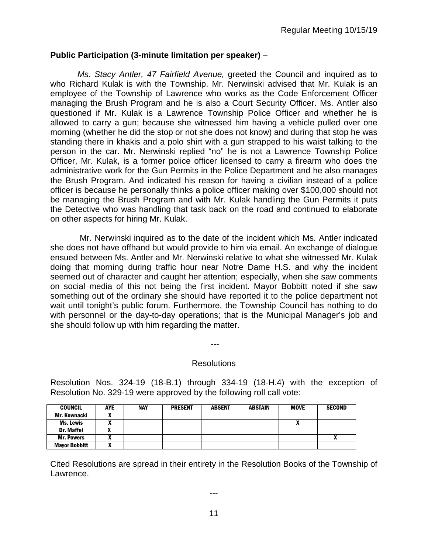#### **Public Participation (3-minute limitation per speaker)** –

*Ms. Stacy Antler, 47 Fairfield Avenue,* greeted the Council and inquired as to who Richard Kulak is with the Township. Mr. Nerwinski advised that Mr. Kulak is an employee of the Township of Lawrence who works as the Code Enforcement Officer managing the Brush Program and he is also a Court Security Officer. Ms. Antler also questioned if Mr. Kulak is a Lawrence Township Police Officer and whether he is allowed to carry a gun; because she witnessed him having a vehicle pulled over one morning (whether he did the stop or not she does not know) and during that stop he was standing there in khakis and a polo shirt with a gun strapped to his waist talking to the person in the car. Mr. Nerwinski replied "no" he is not a Lawrence Township Police Officer, Mr. Kulak, is a former police officer licensed to carry a firearm who does the administrative work for the Gun Permits in the Police Department and he also manages the Brush Program. And indicated his reason for having a civilian instead of a police officer is because he personally thinks a police officer making over \$100,000 should not be managing the Brush Program and with Mr. Kulak handling the Gun Permits it puts the Detective who was handling that task back on the road and continued to elaborate on other aspects for hiring Mr. Kulak.

Mr. Nerwinski inquired as to the date of the incident which Ms. Antler indicated she does not have offhand but would provide to him via email. An exchange of dialogue ensued between Ms. Antler and Mr. Nerwinski relative to what she witnessed Mr. Kulak doing that morning during traffic hour near Notre Dame H.S. and why the incident seemed out of character and caught her attention; especially, when she saw comments on social media of this not being the first incident. Mayor Bobbitt noted if she saw something out of the ordinary she should have reported it to the police department not wait until tonight's public forum. Furthermore, the Township Council has nothing to do with personnel or the day-to-day operations; that is the Municipal Manager's job and she should follow up with him regarding the matter.

---

#### Resolutions

Resolution Nos. 324-19 (18-B.1) through 334-19 (18-H.4) with the exception of Resolution No. 329-19 were approved by the following roll call vote:

| <b>COUNCIL</b>       | AYE | <b>NAY</b> | <b>PRESENT</b> | <b>ABSENT</b> | ABSTAIN | <b>MOVE</b> | <b>SECOND</b> |
|----------------------|-----|------------|----------------|---------------|---------|-------------|---------------|
| Mr. Kownacki         |     |            |                |               |         |             |               |
| Ms. Lewis            |     |            |                |               |         |             |               |
| <b>Dr. Maffei</b>    |     |            |                |               |         |             |               |
| <b>Mr. Powers</b>    |     |            |                |               |         |             | ~             |
| <b>Mayor Bobbitt</b> |     |            |                |               |         |             |               |

Cited Resolutions are spread in their entirety in the Resolution Books of the Township of Lawrence.

---